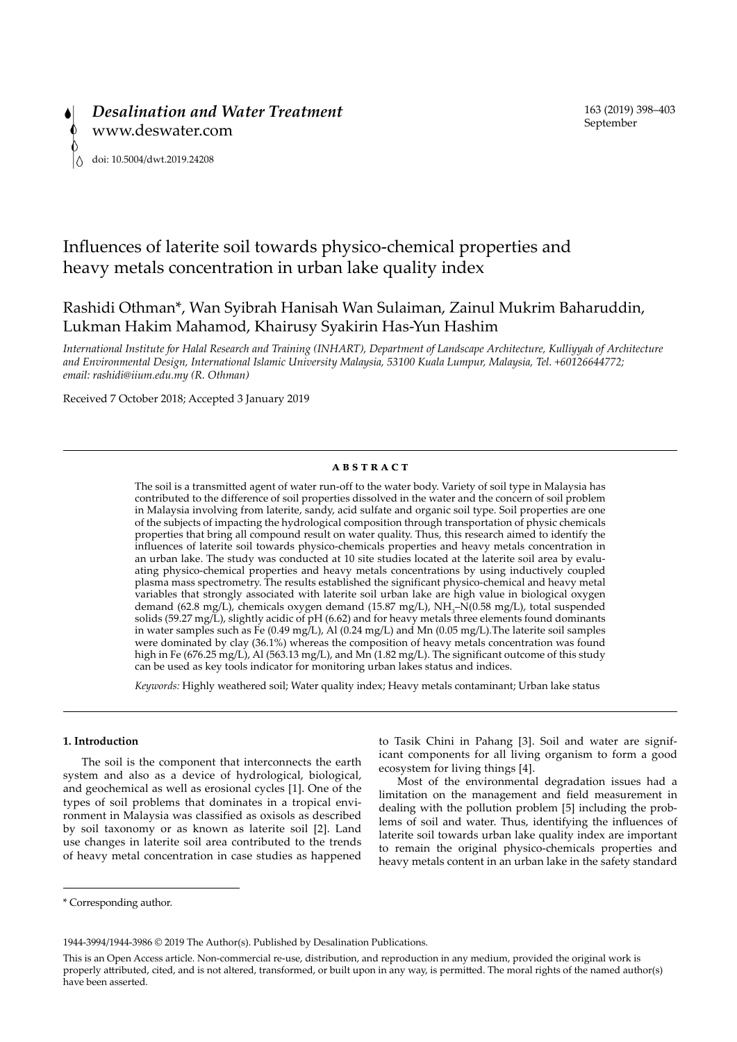

# Influences of laterite soil towards physico-chemical properties and heavy metals concentration in urban lake quality index

## Rashidi Othman\*, Wan Syibrah Hanisah Wan Sulaiman, Zainul Mukrim Baharuddin, Lukman Hakim Mahamod, Khairusy Syakirin Has-Yun Hashim

*International Institute for Halal Research and Training (INHART), Department of Landscape Architecture, Kulliyyah of Architecture and Environmental Design, International Islamic University Malaysia, 53100 Kuala Lumpur, Malaysia, Tel. +60126644772; email: rashidi@iium.edu.my (R. Othman)*

Received 7 October 2018; Accepted 3 January 2019

## **abstract**

The soil is a transmitted agent of water run-off to the water body. Variety of soil type in Malaysia has contributed to the difference of soil properties dissolved in the water and the concern of soil problem in Malaysia involving from laterite, sandy, acid sulfate and organic soil type. Soil properties are one of the subjects of impacting the hydrological composition through transportation of physic chemicals properties that bring all compound result on water quality. Thus, this research aimed to identify the influences of laterite soil towards physico-chemicals properties and heavy metals concentration in an urban lake. The study was conducted at 10 site studies located at the laterite soil area by evaluating physico-chemical properties and heavy metals concentrations by using inductively coupled plasma mass spectrometry. The results established the significant physico-chemical and heavy metal variables that strongly associated with laterite soil urban lake are high value in biological oxygen demand (62.8 mg/L), chemicals oxygen demand (15.87 mg/L), NH<sub>3</sub>-N(0.58 mg/L), total suspended solids (59.27 mg/L), slightly acidic of pH (6.62) and for heavy metals three elements found dominants in water samples such as Fe (0.49 mg/L), Al (0.24 mg/L) and Mn (0.05 mg/L).The laterite soil samples were dominated by clay (36.1%) whereas the composition of heavy metals concentration was found high in Fe (676.25 mg/L), Al (563.13 mg/L), and Mn (1.82 mg/L). The significant outcome of this study can be used as key tools indicator for monitoring urban lakes status and indices.

*Keywords:* Highly weathered soil; Water quality index; Heavy metals contaminant; Urban lake status

## **1. Introduction**

The soil is the component that interconnects the earth system and also as a device of hydrological, biological, and geochemical as well as erosional cycles [1]. One of the types of soil problems that dominates in a tropical environment in Malaysia was classified as oxisols as described by soil taxonomy or as known as laterite soil [2]. Land use changes in laterite soil area contributed to the trends of heavy metal concentration in case studies as happened to Tasik Chini in Pahang [3]. Soil and water are significant components for all living organism to form a good ecosystem for living things [4].

Most of the environmental degradation issues had a limitation on the management and field measurement in dealing with the pollution problem [5] including the problems of soil and water. Thus, identifying the influences of laterite soil towards urban lake quality index are important to remain the original physico-chemicals properties and heavy metals content in an urban lake in the safety standard

<sup>\*</sup> Corresponding author.

<sup>1944-3994/1944-3986 © 2019</sup> The Author(s). Published by Desalination Publications.

This is an Open Access article. Non-commercial re-use, distribution, and reproduction in any medium, provided the original work is properly attributed, cited, and is not altered, transformed, or built upon in any way, is permitted. The moral rights of the named author(s) have been asserted.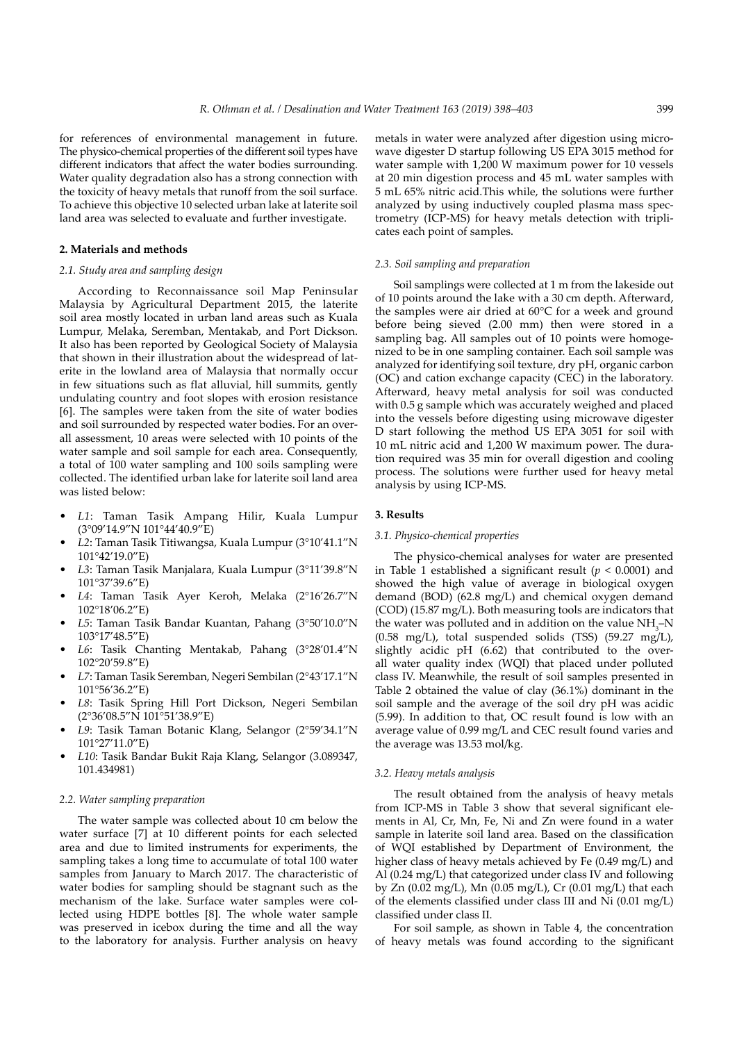for references of environmental management in future. The physico-chemical properties of the different soil types have different indicators that affect the water bodies surrounding. Water quality degradation also has a strong connection with the toxicity of heavy metals that runoff from the soil surface. To achieve this objective 10 selected urban lake at laterite soil land area was selected to evaluate and further investigate.

## **2. Materials and methods**

## *2.1. Study area and sampling design*

According to Reconnaissance soil Map Peninsular Malaysia by Agricultural Department 2015, the laterite soil area mostly located in urban land areas such as Kuala Lumpur, Melaka, Seremban, Mentakab, and Port Dickson. It also has been reported by Geological Society of Malaysia that shown in their illustration about the widespread of laterite in the lowland area of Malaysia that normally occur in few situations such as flat alluvial, hill summits, gently undulating country and foot slopes with erosion resistance [6]. The samples were taken from the site of water bodies and soil surrounded by respected water bodies. For an overall assessment, 10 areas were selected with 10 points of the water sample and soil sample for each area. Consequently, a total of 100 water sampling and 100 soils sampling were collected. The identified urban lake for laterite soil land area was listed below:

- *L1*: Taman Tasik Ampang Hilir, Kuala Lumpur (3°09'14.9"N 101°44'40.9"E)
- *L2*: Taman Tasik Titiwangsa, Kuala Lumpur (3°10'41.1"N 101°42'19.0"E)
- *L3*: Taman Tasik Manjalara, Kuala Lumpur (3°11'39.8"N 101°37'39.6"E)
- *L4*: Taman Tasik Ayer Keroh, Melaka (2°16'26.7"N 102°18'06.2"E)
- *L5*: Taman Tasik Bandar Kuantan, Pahang (3°50'10.0"N 103°17'48.5"E)
- *L6*: Tasik Chanting Mentakab, Pahang (3°28'01.4"N 102°20'59.8"E)
- *L7*: Taman Tasik Seremban, Negeri Sembilan (2°43'17.1"N 101°56'36.2"E)
- *L8*: Tasik Spring Hill Port Dickson, Negeri Sembilan (2°36'08.5"N 101°51'38.9"E)
- *L9*: Tasik Taman Botanic Klang, Selangor (2°59'34.1"N 101°27'11.0"E)
- *L10*: Tasik Bandar Bukit Raja Klang, Selangor (3.089347, 101.434981)

## *2.2. Water sampling preparation*

The water sample was collected about 10 cm below the water surface [7] at 10 different points for each selected area and due to limited instruments for experiments, the sampling takes a long time to accumulate of total 100 water samples from January to March 2017. The characteristic of water bodies for sampling should be stagnant such as the mechanism of the lake. Surface water samples were collected using HDPE bottles [8]. The whole water sample was preserved in icebox during the time and all the way to the laboratory for analysis. Further analysis on heavy metals in water were analyzed after digestion using microwave digester D startup following US EPA 3015 method for water sample with 1,200 W maximum power for 10 vessels at 20 min digestion process and 45 mL water samples with 5 mL 65% nitric acid.This while, the solutions were further analyzed by using inductively coupled plasma mass spectrometry (ICP-MS) for heavy metals detection with triplicates each point of samples.

## *2.3. Soil sampling and preparation*

Soil samplings were collected at 1 m from the lakeside out of 10 points around the lake with a 30 cm depth. Afterward, the samples were air dried at 60°C for a week and ground before being sieved (2.00 mm) then were stored in a sampling bag. All samples out of 10 points were homogenized to be in one sampling container. Each soil sample was analyzed for identifying soil texture, dry pH, organic carbon (OC) and cation exchange capacity (CEC) in the laboratory. Afterward, heavy metal analysis for soil was conducted with 0.5 g sample which was accurately weighed and placed into the vessels before digesting using microwave digester D start following the method US EPA 3051 for soil with 10 mL nitric acid and 1,200 W maximum power. The duration required was 35 min for overall digestion and cooling process. The solutions were further used for heavy metal analysis by using ICP-MS.

#### **3. Results**

#### *3.1. Physico-chemical properties*

The physico-chemical analyses for water are presented in Table 1 established a significant result ( $p < 0.0001$ ) and showed the high value of average in biological oxygen demand (BOD) (62.8 mg/L) and chemical oxygen demand (COD) (15.87 mg/L). Both measuring tools are indicators that the water was polluted and in addition on the value  $NH<sub>3</sub>-N$  $(0.58 \text{ mg/L})$ , total suspended solids (TSS)  $(59.27 \text{ mg/L})$ , slightly acidic pH (6.62) that contributed to the overall water quality index (WQI) that placed under polluted class IV. Meanwhile, the result of soil samples presented in Table 2 obtained the value of clay (36.1%) dominant in the soil sample and the average of the soil dry pH was acidic (5.99). In addition to that, OC result found is low with an average value of 0.99 mg/L and CEC result found varies and the average was 13.53 mol/kg.

#### *3.2. Heavy metals analysis*

The result obtained from the analysis of heavy metals from ICP-MS in Table 3 show that several significant elements in Al, Cr, Mn, Fe, Ni and Zn were found in a water sample in laterite soil land area. Based on the classification of WQI established by Department of Environment, the higher class of heavy metals achieved by Fe (0.49 mg/L) and Al (0.24 mg/L) that categorized under class IV and following by Zn (0.02 mg/L), Mn (0.05 mg/L), Cr (0.01 mg/L) that each of the elements classified under class III and Ni (0.01 mg/L) classified under class II.

For soil sample, as shown in Table 4, the concentration of heavy metals was found according to the significant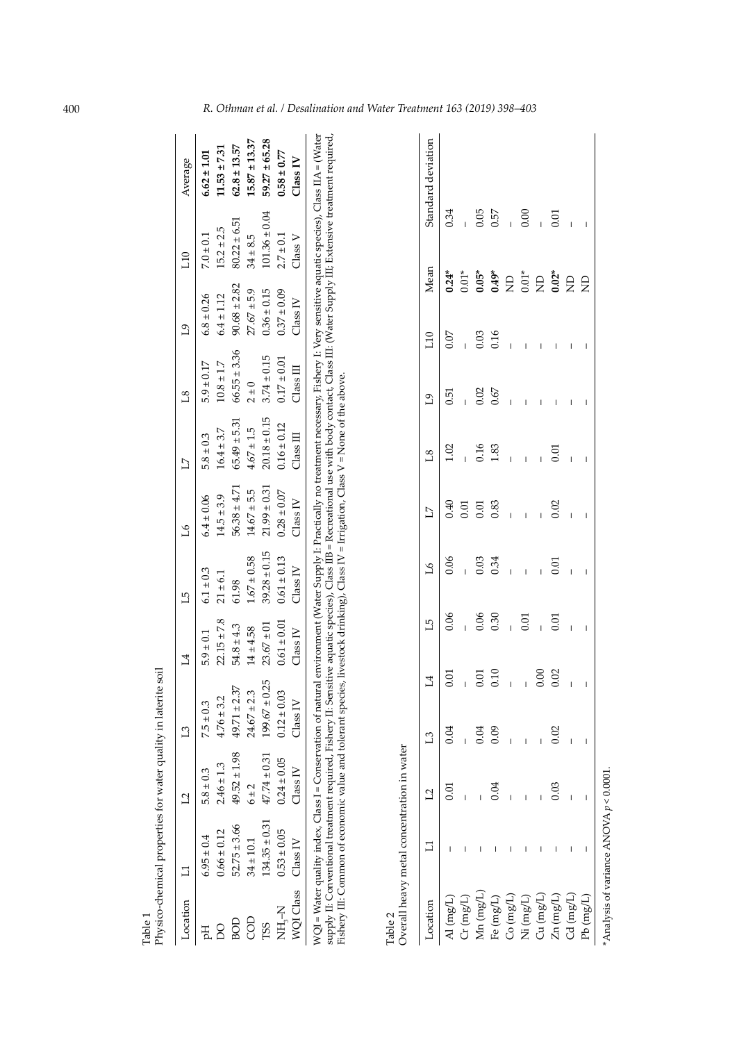| Table 1             | Physico-chemical properties for water quality in laterite |                  | soil                |                 |                  |                  |                  |                      |                  |                   |                    |
|---------------------|-----------------------------------------------------------|------------------|---------------------|-----------------|------------------|------------------|------------------|----------------------|------------------|-------------------|--------------------|
| Location            | $\Box$                                                    | $\mathbf{L}$     | L <sub>3</sub>      | $\overline{14}$ | $\overline{L}$   | 97               | $\overline{L}$   | $^{8}$               | $\overline{0}$   | 110               | Average            |
| Ę                   | $6.95 \pm 0.4$                                            | $5.8 \pm 0.3$    | $7.5 \pm 0.3$       | $5.9 \pm 0.1$   | $6.1 \pm 0.3$    | $6.4 \pm 0.06$   | $5.8 \pm 0.3$    | $5.9 \pm 0.17$       | $6.8 \pm 0.26$   | $7.0 \pm 0.1$     | $6.62 \pm 1.01$    |
| 0Q                  | $0.66 \pm 0.12$                                           | $2.46 \pm 1.3$   | $4.76 \pm 3.2$      | $22.15 \pm 7.8$ | $21 \pm 6.1$     | $14.5 \pm 3.9$   | $16.4 \pm 3.7$   | $10.8 \pm 1.7$       | $6.4 \pm 1.12$   | $15.2 \pm 2.5$    | $11.53 \pm 7.31$   |
| БOІ                 | $52.75 \pm 3.66$                                          | $49.52 \pm 1.98$ | $49.71 \pm 2.37$    | $54.8 \pm 4.3$  | 61.98            | $56.38 \pm 4.71$ | $65.49 \pm 5.31$ | $66.55 \pm 3.36$     | $90.68 \pm 2.82$ | $80.22 \pm 6.51$  | $62.8 \pm 13.57$   |
| GOD                 | $34 \pm 10.1$                                             | 6 ± 2            | $24.67 \pm 2.3$     | $14 \pm 4.58$   | $1.67 \pm 0.58$  | $14.67 \pm 5.5$  | $4.67 \pm 1.5$   | $2 \pm 0$            | $27.67 + 5.9$    | $34 \pm 8.5$      | $15.87 \pm 13.37$  |
| T <sub>S</sub> S    | $134.35 \pm 0.31$                                         | $47.74 \pm 0.31$ | $199.67 \pm 0.25$   | $23.67 \pm 01$  | $39.28 \pm 0.15$ | $21.99 \pm 0.31$ | $20.18 \pm 0.15$ | $3.74 \pm 0.15$      | $0.36 \pm 0.15$  | $101.36 \pm 0.04$ | $59.27 \pm 65.28$  |
| スーピス                | $0.53 \pm 0.05$                                           | $0.24 \pm 0.05$  | $0.12 \pm 0.03$     | $0.61 \pm 0.01$ | $0.61 \pm 0.13$  | $0.28 \pm 0.07$  | $0.16 \pm 0.12$  | $0.17 \pm 0.01$      | $0.37 \pm 0.09$  | $2.7 \pm 0.1$     | $0.58 \pm 0.77$    |
| WQI Class           | Class IV                                                  | Class IV         | Class IV            | Class IV        | Class IV         | Class IV         | $\Box$ ass $\Pi$ | $\Box$ ass $\rm III$ | Class IV         | Class V           | Class IV           |
|                     | Overall heavy metal concentration in water                |                  |                     |                 |                  |                  |                  |                      |                  |                   |                    |
| Location            | コ                                                         | $\overline{12}$  | 4<br>$\mathbf{L}^3$ | L5              | 97               | $\Box$           | $^{8}$           | $\overline{0}$       | Mean<br>10       |                   | Standard deviation |
| $\mathbf{A}$ (mg/L) |                                                           | 0.01             | Ξ.<br>0.04          | 0.06            | 0.06             | 0.40             | 1.02             | 0.51                 | $0.24*$<br>0.07  | 0.34              |                    |
| Cr(mg/L)            |                                                           |                  |                     |                 |                  | 0.01             |                  | Ï                    | $0.01*$          |                   |                    |
| $Mn$ (mg/L          |                                                           |                  | ē<br>0.04           | 0.06            | 0.03             | 0.01             | 0.16             | 0.02                 | $0.05*$<br>0.03  | 0.05              |                    |
| Fe $(mg/L)$         |                                                           | 0.04             | 0.10<br>0.09        | 0.30            | 0.34             | 0.83             | 1.83             | 0.67                 | $0.49*$<br>0.16  | 0.57              |                    |
| $Co$ (mg/L)         |                                                           |                  |                     |                 | $\overline{1}$   | $\overline{1}$   | $\overline{1}$   |                      | $\Xi$            |                   |                    |
| Ni(mg/L)            |                                                           |                  |                     | 0.01            | $\overline{1}$   | I                | $\overline{1}$   |                      | $0.01*$          | 0.00              |                    |
| $Cu$ (mg/L)         |                                                           |                  | 0.00                |                 |                  |                  |                  |                      | $\Xi$            |                   |                    |

|                                                                                                                                                                                                                                                                                                                                                                                                                                         | $\overline{14}$               | $\overline{1}$        | $\mathfrak{L}$              | $\overline{L}$                           | $^{18}$        | $\mathfrak{g}_1$  | 10 <sub>1</sub>          | Mean | Standard deviation |
|-----------------------------------------------------------------------------------------------------------------------------------------------------------------------------------------------------------------------------------------------------------------------------------------------------------------------------------------------------------------------------------------------------------------------------------------|-------------------------------|-----------------------|-----------------------------|------------------------------------------|----------------|-------------------|--------------------------|------|--------------------|
| $\begin{array}{cccccc} \text{Location} & & & & & & & & & \text{L1} & & & \text{L2} & & & \text{L3} \\ \text{Location} & & & & & & & & & & \text{D04} & & & \text{D1} \\ \text{Cr} \ (\text{m} \text{g} / \text{L}) & & & & & & & \text{D104} & & \text{D204} \\ \text{Kn} \ (\text{m} \text{g} / \text{L}) & & & & & & \text{D104} & & \text{D104} \\ \text{Fe} \ (\text{m} \text{g} / \text{L}) & & & & & \text{D104} & & \text{D109}$ | $\overline{0}$ .              | 0.06                  |                             |                                          | 1.02           | 0.51              | 0.07                     |      |                    |
|                                                                                                                                                                                                                                                                                                                                                                                                                                         |                               | $-0.06$<br>0.30       | $0.06$<br>$-0.03$<br>$0.34$ | $0.5008$<br>$0.5008$                     | $-0.33$        | $\frac{30}{0.67}$ | $-0.03$<br>0.16          |      |                    |
|                                                                                                                                                                                                                                                                                                                                                                                                                                         | $\frac{5}{0.01}$              |                       |                             |                                          |                |                   |                          |      |                    |
|                                                                                                                                                                                                                                                                                                                                                                                                                                         |                               |                       |                             |                                          |                |                   |                          |      |                    |
|                                                                                                                                                                                                                                                                                                                                                                                                                                         |                               |                       |                             |                                          | $\overline{1}$ | $\bar{\rm T}$     | $\frac{1}{2}$ .          |      |                    |
|                                                                                                                                                                                                                                                                                                                                                                                                                                         | $\overline{1}$ $\overline{0}$ |                       | $1 + 1 = 0.01$              | $\hat{\Gamma}=\hat{\Gamma}=\hat{\Gamma}$ |                | $\overline{1}$    |                          |      |                    |
|                                                                                                                                                                                                                                                                                                                                                                                                                                         |                               | $\overline{0}$        |                             |                                          | $\overline{5}$ | $\mathbf{I}$      | $\bar{\Gamma}$           |      |                    |
|                                                                                                                                                                                                                                                                                                                                                                                                                                         | 0.02                          |                       |                             | 0.02                                     |                | I                 | $\overline{\phantom{a}}$ |      |                    |
|                                                                                                                                                                                                                                                                                                                                                                                                                                         | $\mathbf{L}$                  | $\bar{1}$ – $\bar{1}$ | $\mathbf{I}$                | Ï                                        |                | L.                | $\mathbf{I}$             |      |                    |
|                                                                                                                                                                                                                                                                                                                                                                                                                                         | $\mathbf{I}$                  |                       | I                           | I                                        | I              | I                 | I                        |      |                    |

Analysis of variance ANOVA  $p < 0.0001$ . \*Analysis of variance ANOVA *p* < 0.0001.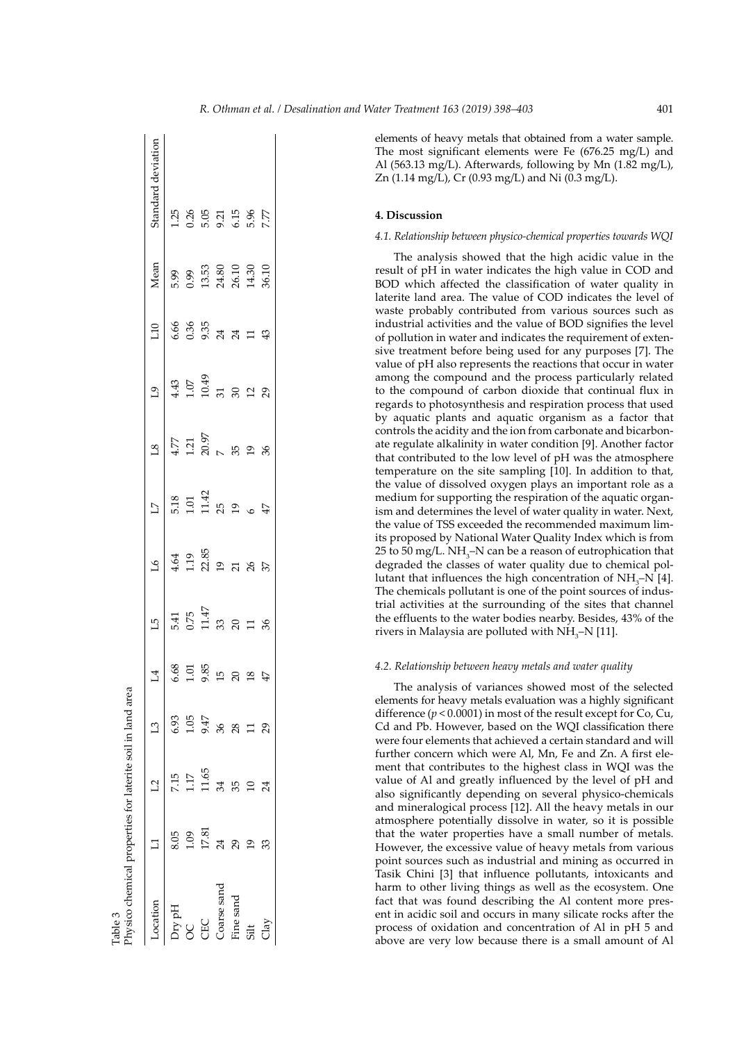| ocation     |       |       | $\mathsf{L}^3$ | 4                                   | $\overline{5}$                       | $\mathcal{L}$                                            | $\overline{L}$                                       | $^{18}$                                                      | $\overline{c}$                                                                     | 10                                                   | Mean                                             | Standard deviation                                                               |
|-------------|-------|-------|----------------|-------------------------------------|--------------------------------------|----------------------------------------------------------|------------------------------------------------------|--------------------------------------------------------------|------------------------------------------------------------------------------------|------------------------------------------------------|--------------------------------------------------|----------------------------------------------------------------------------------|
| Dry pH      | 8.05  | 7.15  | 6.93           |                                     |                                      |                                                          |                                                      |                                                              |                                                                                    |                                                      |                                                  |                                                                                  |
| 8           | 0.1   | 17    | 1.05           | 6.68<br>1.585<br>1.585<br>12 R 20 4 | 5.41<br>0.75<br>0.747<br>3.8 2 1 3.8 | $4.64$<br>$1.19$<br>$2.85$<br>$2.85$<br>$2.85$<br>$3.85$ | 5.18<br>1.01<br>1.42<br>5<br>5<br>9<br>$\frac{4}{9}$ | $4.77$<br>$1.21$<br>$7.0.97$<br>$7.8$<br>$2.9$<br>$8$<br>$8$ | $4.3$<br>$-1.07$<br>$-1.04$<br>$-1.04$<br>$-1.04$<br>$-1.04$<br>$-1.04$<br>$-1.04$ | $6.35$<br>$6.35$<br>$6.35$<br>$7.4$<br>$7.12$<br>$4$ | 5.99<br>0.99<br>13.53<br>24.50<br>26.10<br>36.10 | $1.25$<br>$0.26$<br>$0.5$<br>$0.5$<br>$0.5$<br>$0.5$<br>$0.5$<br>$0.5$<br>$0.77$ |
| CHC         | 17.81 | 11.65 | 9.47           |                                     |                                      |                                                          |                                                      |                                                              |                                                                                    |                                                      |                                                  |                                                                                  |
| Coarse sand |       | 34    | 36             |                                     |                                      |                                                          |                                                      |                                                              |                                                                                    |                                                      |                                                  |                                                                                  |
| ine sand    | 29    | 35    | 28             |                                     |                                      |                                                          |                                                      |                                                              |                                                                                    |                                                      |                                                  |                                                                                  |
| $\ddot{5}$  |       |       |                |                                     |                                      |                                                          |                                                      |                                                              |                                                                                    |                                                      |                                                  |                                                                                  |
|             |       |       |                |                                     |                                      |                                                          |                                                      |                                                              |                                                                                    |                                                      |                                                  |                                                                                  |

Table 3

The most significant elements were Fe (676.25 mg/L) and Al (563.13 mg/L). Afterwards, following by Mn (1.82 mg/L), Zn (1.14 mg/L), Cr (0.93 mg/L) and Ni (0.3 mg/L).

## **4. Discussion**

## *4.1. Relationship between physico-chemical properties towards WQI*

The analysis showed that the high acidic value in the result of pH in water indicates the high value in COD and BOD which affected the classification of water quality in laterite land area. The value of COD indicates the level of waste probably contributed from various sources such as industrial activities and the value of BOD signifies the level of pollution in water and indicates the requirement of extensive treatment before being used for any purposes [7]. The value of pH also represents the reactions that occur in water among the compound and the process particularly related to the compound of carbon dioxide that continual flux in regards to photosynthesis and respiration process that used by aquatic plants and aquatic organism as a factor that controls the acidity and the ion from carbonate and bicarbonate regulate alkalinity in water condition [9]. Another factor that contributed to the low level of pH was the atmosphere temperature on the site sampling [10]. In addition to that, the value of dissolved oxygen plays an important role as a medium for supporting the respiration of the aquatic organism and determines the level of water quality in water. Next, the value of TSS exceeded the recommended maximum limits proposed by National Water Quality Index which is from 25 to 50 mg/L.  $NH_{3}$ –N can be a reason of eutrophication that degraded the classes of water quality due to chemical pollutant that influences the high concentration of  $NH<sub>3</sub>-N$  [4]. The chemicals pollutant is one of the point sources of industrial activities at the surrounding of the sites that channel the effluents to the water bodies nearby. Besides, 43% of the rivers in Malaysia are polluted with  $NH_{3}$ –N [11].

## *4.2. Relationship between heavy metals and water quality*

The analysis of variances showed most of the selected elements for heavy metals evaluation was a highly significant difference  $(p < 0.0001)$  in most of the result except for Co, Cu, Cd and Pb. However, based on the WQI classification there were four elements that achieved a certain standard and will further concern which were Al, Mn, Fe and Zn. A first element that contributes to the highest class in WQI was the value of Al and greatly influenced by the level of pH and also significantly depending on several physico-chemicals and mineralogical process [12]. All the heavy metals in our atmosphere potentially dissolve in water, so it is possible that the water properties have a small number of metals. However, the excessive value of heavy metals from various point sources such as industrial and mining as occurred in Tasik Chini [3] that influence pollutants, intoxicants and harm to other living things as well as the ecosystem. One fact that was found describing the Al content more present in acidic soil and occurs in many silicate rocks after the process of oxidation and concentration of Al in pH 5 and above are very low because there is a small amount of Al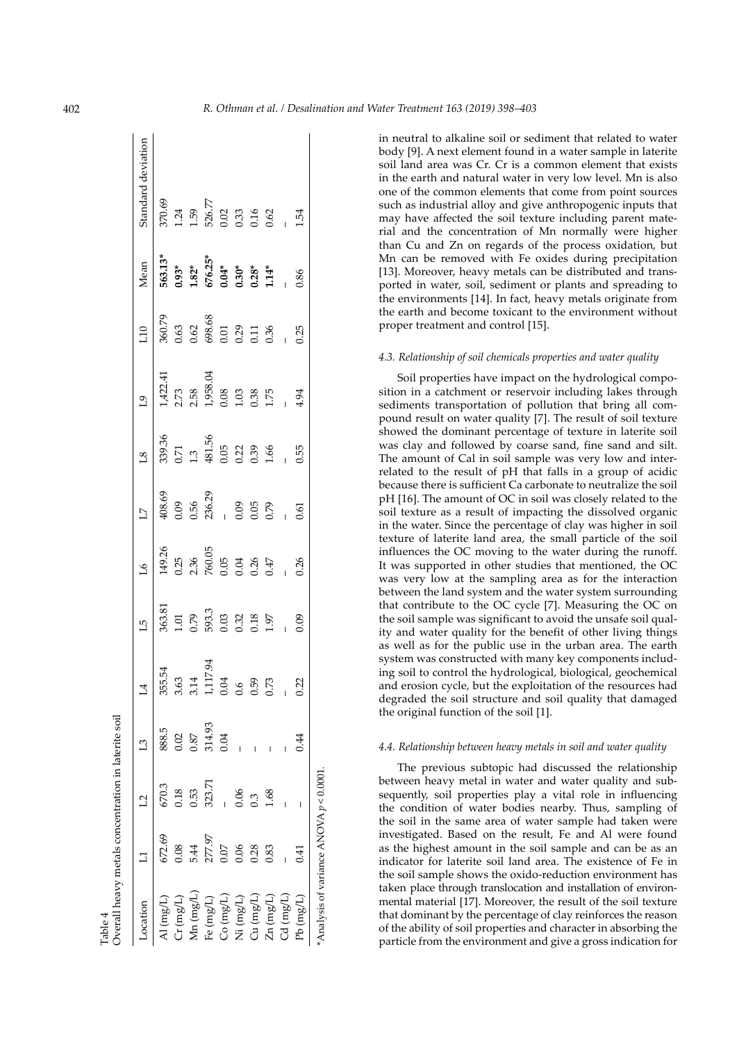| Overall heavy metals concentration in laterite soil<br>Table 4 |          |        |        |                                |                                                         |                                                                        |                                                                                       |                                                         |                                                                                      |                                                          |                                                                    |                                                            |
|----------------------------------------------------------------|----------|--------|--------|--------------------------------|---------------------------------------------------------|------------------------------------------------------------------------|---------------------------------------------------------------------------------------|---------------------------------------------------------|--------------------------------------------------------------------------------------|----------------------------------------------------------|--------------------------------------------------------------------|------------------------------------------------------------|
| ocation                                                        |          | 12     | L3     |                                | Ľ                                                       | पै                                                                     | $\overline{17}$                                                                       | $\overline{18}$                                         | e<br>L                                                                               | $\overline{10}$                                          | Mean                                                               | Standard deviation                                         |
| $\mathbf{u}\left(\text{mg/L}\right)$                           | 672.69   | 670.3  | 888.5  | 355.54                         |                                                         |                                                                        |                                                                                       |                                                         |                                                                                      |                                                          |                                                                    |                                                            |
| $\mathrm{Cr}\,(\mathrm{mg/L})$                                 | 0.08     | 0.18   | 0.02   |                                |                                                         |                                                                        |                                                                                       |                                                         |                                                                                      |                                                          |                                                                    |                                                            |
| $Mn$ (mg/L)                                                    | 5.44     | 0.53   | 0.87   | $3.63$<br>$3.14$<br>$1,117.94$ |                                                         |                                                                        |                                                                                       |                                                         |                                                                                      |                                                          |                                                                    |                                                            |
| Fe $(mg/L)$                                                    | 277.97   | 323.71 | 314.93 |                                |                                                         |                                                                        |                                                                                       |                                                         |                                                                                      |                                                          |                                                                    |                                                            |
| Co (mg/L)                                                      | 0.07     |        | 0.04   |                                |                                                         |                                                                        |                                                                                       |                                                         |                                                                                      |                                                          |                                                                    |                                                            |
| Ni $(\mathrm{mg/L})$                                           | 0.06     | 0.06   |        |                                | 363.81<br>1.01<br>0.79<br>593.3<br>0.03<br>0.32<br>1.97 | $149.26$<br>$0.25$<br>$2.36$<br>$760.05$<br>$0.05$<br>$0.47$<br>$0.47$ | $308.69$<br>$40.89$<br>$50.56$<br>$50.79$<br>$50.89$<br>$50.89$<br>$50.89$<br>$50.89$ | 399.36<br>0.71<br>1.3<br>481.56<br>0.02<br>0.39<br>1.66 | $1,422,41$<br>$2,73$<br>$2,58$<br>$1,958,04$<br>$1,03$<br>$0,38$<br>$0,38$<br>$1,75$ | $360.79$<br>0.63<br>0.62<br>0.88<br>0.80<br>0.73<br>0.36 | $563.13$ *<br>0.93*<br>1.82*<br>676.25*<br>0.30*<br>0.30*<br>1.14* | $370.69$<br>1.24<br>1.59<br>526.77<br>0.03<br>0.03<br>0.02 |
| $Cu \, (mg/L)$                                                 | 0.28     | 0.3    |        |                                |                                                         |                                                                        |                                                                                       |                                                         |                                                                                      |                                                          |                                                                    |                                                            |
| $Zn$ (mg/L)                                                    | 0.83     | 1.68   |        |                                |                                                         |                                                                        |                                                                                       |                                                         |                                                                                      |                                                          |                                                                    |                                                            |
| $Cd$ (mg/L)                                                    |          |        |        |                                | $\frac{1}{\sqrt{2}}$                                    |                                                                        |                                                                                       |                                                         |                                                                                      | $-0.25$                                                  |                                                                    |                                                            |
| ${\rm Pb}~({\rm mg}/{\rm L})$                                  | 14.<br>1 |        | 0.44   | 0.22                           | 0.09                                                    | 0.26                                                                   | 0.61                                                                                  | 0.55                                                    | 4.94                                                                                 |                                                          | 0.86                                                               | 1.54                                                       |
| *Analysis of variance ANOVA $p < 0.0001$ .                     |          |        |        |                                |                                                         |                                                                        |                                                                                       |                                                         |                                                                                      |                                                          |                                                                    |                                                            |

in neutral to alkaline soil or sediment that related to water body [9]. A next element found in a water sample in laterite soil land area was Cr. Cr is a common element that exists in the earth and natural water in very low level. Mn is also one of the common elements that come from point sources such as industrial alloy and give anthropogenic inputs that may have affected the soil texture including parent material and the concentration of Mn normally were higher than Cu and Zn on regards of the process oxidation, but Mn can be removed with Fe oxides during precipitation [13]. Moreover, heavy metals can be distributed and transported in water, soil, sediment or plants and spreading to the environments [14]. In fact, heavy metals originate from the earth and become toxicant to the environment without proper treatment and control [15].

## *4.3. Relationship of soil chemicals properties and water quality*

Soil properties have impact on the hydrological composition in a catchment or reservoir including lakes through sediments transportation of pollution that bring all compound result on water quality [7]. The result of soil texture showed the dominant percentage of texture in laterite soil was clay and followed by coarse sand, fine sand and silt. The amount of Cal in soil sample was very low and interrelated to the result of pH that falls in a group of acidic because there is sufficient Ca carbonate to neutralize the soil pH [16]. The amount of OC in soil was closely related to the soil texture as a result of impacting the dissolved organic in the water. Since the percentage of clay was higher in soil texture of laterite land area, the small particle of the soil influences the OC moving to the water during the runoff. It was supported in other studies that mentioned, the OC was very low at the sampling area as for the interaction between the land system and the water system surrounding that contribute to the OC cycle [7]. Measuring the OC on the soil sample was significant to avoid the unsafe soil quality and water quality for the benefit of other living things as well as for the public use in the urban area. The earth system was constructed with many key components including soil to control the hydrological, biological, geochemical and erosion cycle, but the exploitation of the resources had degraded the soil structure and soil quality that damaged the original function of the soil [1].

## *4.4. Relationship between heavy metals in soil and water quality*

The previous subtopic had discussed the relationship between heavy metal in water and water quality and subsequently, soil properties play a vital role in influencing the condition of water bodies nearby. Thus, sampling of the soil in the same area of water sample had taken were investigated. Based on the result, Fe and Al were found as the highest amount in the soil sample and can be as an indicator for laterite soil land area. The existence of Fe in the soil sample shows the oxido-reduction environment has taken place through translocation and installation of environmental material [17]. Moreover, the result of the soil texture that dominant by the percentage of clay reinforces the reason of the ability of soil properties and character in absorbing the particle from the environment and give a gross indication for